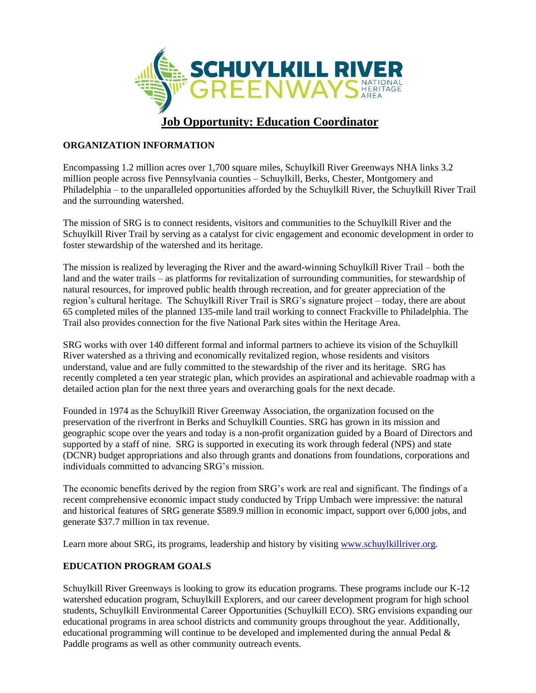

## **ORGANIZATION INFORMATION**

Encompassing 1.2 million acres over 1,700 square miles, Schuylkill River Greenways NHA links 3.2 million people across five Pennsylvania counties – Schuylkill, Berks, Chester, Montgomery and Philadelphia – to the unparalleled opportunities afforded by the Schuylkill River, the Schuylkill River Trail and the surrounding watershed.

The mission of SRG is to connect residents, visitors and communities to the Schuylkill River and the Schuylkill River Trail by serving as a catalyst for civic engagement and economic development in order to foster stewardship of the watershed and its heritage.

The mission is realized by leveraging the River and the award-winning Schuylkill River Trail – both the land and the water trails – as platforms for revitalization of surrounding communities, for stewardship of natural resources, for improved public health through recreation, and for greater appreciation of the region's cultural heritage. The Schuylkill River Trail is SRG's signature project – today, there are about 65 completed miles of the planned 135-mile land trail working to connect Frackville to Philadelphia. The Trail also provides connection for the five National Park sites within the Heritage Area.

SRG works with over 140 different formal and informal partners to achieve its vision of the Schuylkill River watershed as a thriving and economically revitalized region, whose residents and visitors understand, value and are fully committed to the stewardship of the river and its heritage. SRG has recently completed a ten year strategic plan, which provides an aspirational and achievable roadmap with a detailed action plan for the next three years and overarching goals for the next decade.

Founded in 1974 as the Schuylkill River Greenway Association, the organization focused on the preservation of the riverfront in Berks and Schuylkill Counties. SRG has grown in its mission and geographic scope over the years and today is a non-profit organization guided by a Board of Directors and supported by a staff of nine. SRG is supported in executing its work through federal (NPS) and state (DCNR) budget appropriations and also through grants and donations from foundations, corporations and individuals committed to advancing SRG's mission.

The economic benefits derived by the region from SRG's work are real and significant. The findings of a recent comprehensive economic impact study conducted by Tripp Umbach were impressive: the natural and historical features of SRG generate \$589.9 million in economic impact, support over 6,000 jobs, and generate \$37.7 million in tax revenue.

Learn more about SRG, its programs, leadership and history by visiting [www.schuylkillriver.org.](http://www.schuylkillriver.org/)

## **EDUCATION PROGRAM GOALS**

Schuylkill River Greenways is looking to grow its education programs. These programs include our K-12 watershed education program, Schuylkill Explorers, and our career development program for high school students, Schuylkill Environmental Career Opportunities (Schuylkill ECO). SRG envisions expanding our educational programs in area school districts and community groups throughout the year. Additionally, educational programming will continue to be developed and implemented during the annual Pedal  $\&$ Paddle programs as well as other community outreach events.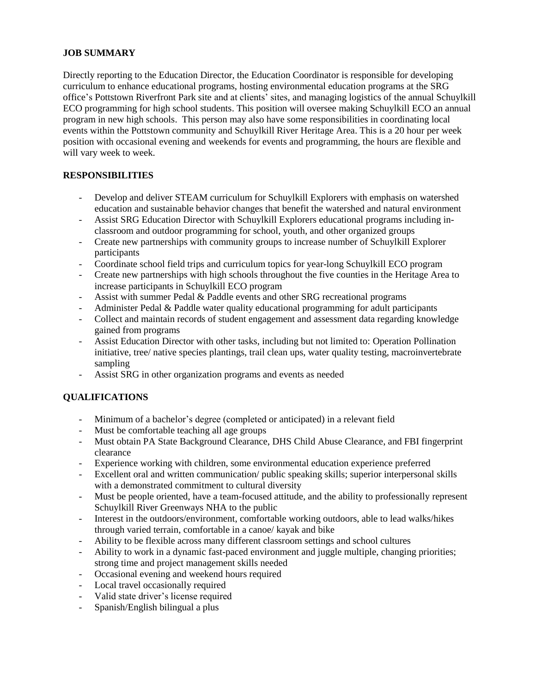## **JOB SUMMARY**

Directly reporting to the Education Director, the Education Coordinator is responsible for developing curriculum to enhance educational programs, hosting environmental education programs at the SRG office's Pottstown Riverfront Park site and at clients' sites, and managing logistics of the annual Schuylkill ECO programming for high school students. This position will oversee making Schuylkill ECO an annual program in new high schools. This person may also have some responsibilities in coordinating local events within the Pottstown community and Schuylkill River Heritage Area. This is a 20 hour per week position with occasional evening and weekends for events and programming, the hours are flexible and will vary week to week.

# **RESPONSIBILITIES**

- Develop and deliver STEAM curriculum for Schuylkill Explorers with emphasis on watershed education and sustainable behavior changes that benefit the watershed and natural environment
- Assist SRG Education Director with Schuylkill Explorers educational programs including inclassroom and outdoor programming for school, youth, and other organized groups
- Create new partnerships with community groups to increase number of Schuylkill Explorer participants
- Coordinate school field trips and curriculum topics for year-long Schuylkill ECO program
- Create new partnerships with high schools throughout the five counties in the Heritage Area to increase participants in Schuylkill ECO program
- Assist with summer Pedal & Paddle events and other SRG recreational programs
- Administer Pedal & Paddle water quality educational programming for adult participants
- Collect and maintain records of student engagement and assessment data regarding knowledge gained from programs
- Assist Education Director with other tasks, including but not limited to: Operation Pollination initiative, tree/ native species plantings, trail clean ups, water quality testing, macroinvertebrate sampling
- Assist SRG in other organization programs and events as needed

# **QUALIFICATIONS**

- Minimum of a bachelor's degree (completed or anticipated) in a relevant field
- Must be comfortable teaching all age groups
- Must obtain PA State Background Clearance, DHS Child Abuse Clearance, and FBI fingerprint clearance
- Experience working with children, some environmental education experience preferred
- Excellent oral and written communication/ public speaking skills; superior interpersonal skills with a demonstrated commitment to cultural diversity
- Must be people oriented, have a team-focused attitude, and the ability to professionally represent Schuylkill River Greenways NHA to the public
- Interest in the outdoors/environment, comfortable working outdoors, able to lead walks/hikes through varied terrain, comfortable in a canoe/ kayak and bike
- Ability to be flexible across many different classroom settings and school cultures
- Ability to work in a dynamic fast-paced environment and juggle multiple, changing priorities; strong time and project management skills needed
- Occasional evening and weekend hours required
- Local travel occasionally required
- Valid state driver's license required
- Spanish/English bilingual a plus